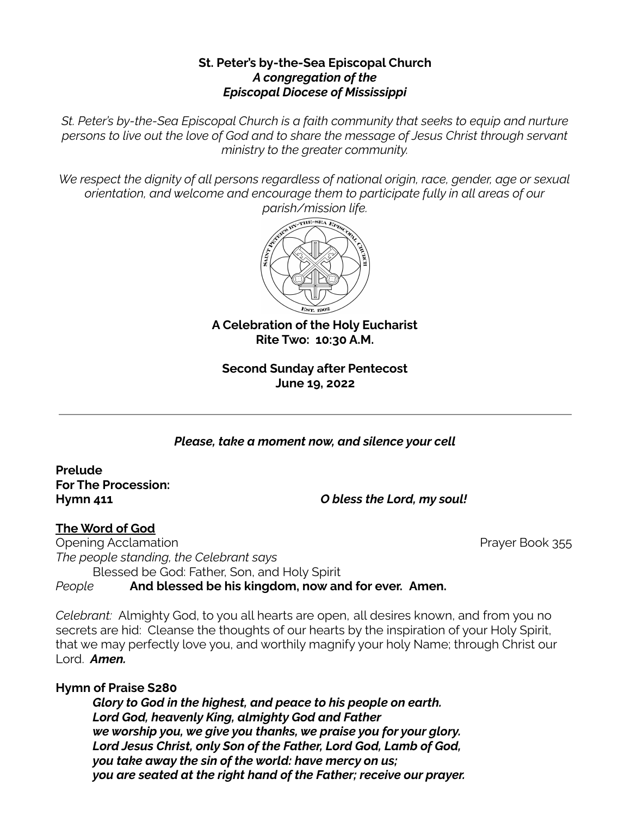### **St. Peter's by-the-Sea Episcopal Church** *A congregation of the Episcopal Diocese of Mississippi*

*St. Peter's by-the-Sea Episcopal Church is a faith community that seeks to equip and nurture persons to live out the love of God and to share the message of Jesus Christ through servant ministry to the greater community.*

*We respect the dignity of all persons regardless of national origin, race, gender, age or sexual orientation, and welcome and encourage them to participate fully in all areas of our parish/mission life.*



**A Celebration of the Holy Eucharist Rite Two: 10:30 A.M.**

**Second Sunday after Pentecost June 19, 2022**

*Please, take a moment now, and silence your cell*

**Prelude For The Procession:**

**Hymn 411** *O bless the Lord, my soul!*

#### **The Word of God**

Opening Acclamation **Prayer Book 355** *The people standing, the Celebrant says* Blessed be God: Father, Son, and Holy Spirit *People* **And blessed be his kingdom, now and for ever. Amen.**

*Celebrant:* Almighty God, to you all hearts are open, all desires known, and from you no secrets are hid: Cleanse the thoughts of our hearts by the inspiration of your Holy Spirit, that we may perfectly love you, and worthily magnify your holy Name; through Christ our Lord. *Amen.*

## **Hymn of Praise S280**

*Glory to God in the highest, and peace to his people on earth. Lord God, heavenly King, almighty God and Father we worship you, we give you thanks, we praise you for your glory. Lord Jesus Christ, only Son of the Father, Lord God, Lamb of God, you take away the sin of the world: have mercy on us; you are seated at the right hand of the Father; receive our prayer.*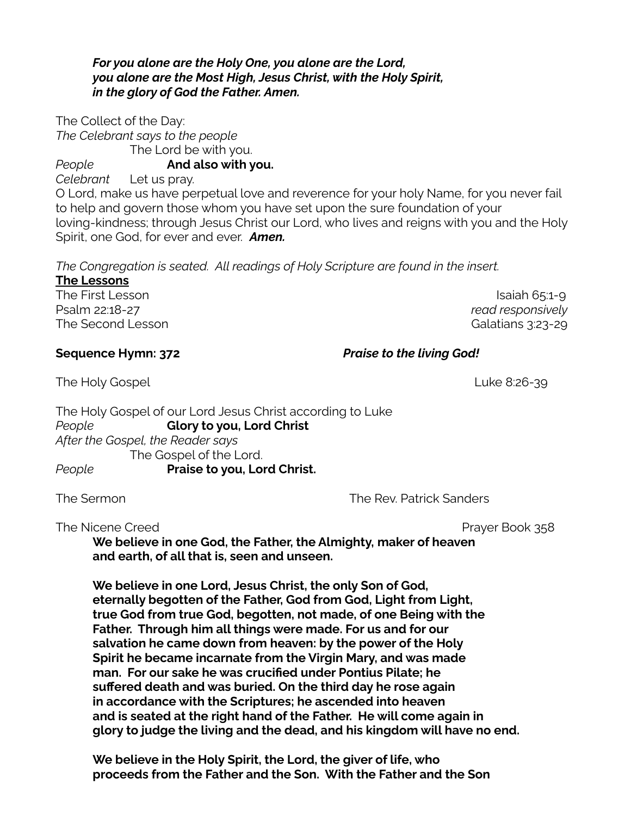#### *For you alone are the Holy One, you alone are the Lord, you alone are the Most High, Jesus Christ, with the Holy Spirit, in the glory of God the Father. Amen.*

The Collect of the Day: *The Celebrant says to the people* The Lord be with you.

*People* **And also with you.**

*Celebrant* Let us pray.

O Lord, make us have perpetual love and reverence for your holy Name, for you never fail to help and govern those whom you have set upon the sure foundation of your loving-kindness; through Jesus Christ our Lord, who lives and reigns with you and the Holy Spirit, one God, for ever and ever. *Amen.*

*The Congregation is seated. All readings of Holy Scripture are found in the insert.*

| <b>The Lessons</b> |
|--------------------|
| The First Lesson   |
| Psalm 22:18-27     |
| The Second Lessor  |

 $Isa$ iah 65:1-9  $read$  *responsively* The Second Lesson Galatians 3:23-29

## **Sequence Hymn: 372** *Praise to the living God!*

The Holy Gospel Luke 8:26-39

The Holy Gospel of our Lord Jesus Christ according to Luke *People* **Glory to you, Lord Christ** *After the Gospel, the Reader says* The Gospel of the Lord. *People* **Praise to you, Lord Christ.**

The Sermon The Sermon The Sermon The Rev. Patrick Sanders

The Nicene Creed **Prayer Book 358** 

**We believe in one God, the Father, the Almighty, maker of heaven and earth, of all that is, seen and unseen.**

**We believe in one Lord, Jesus Christ, the only Son of God, eternally begotten of the Father, God from God, Light from Light, true God from true God, begotten, not made, of one Being with the Father. Through him all things were made. For us and for our salvation he came down from heaven: by the power of the Holy Spirit he became incarnate from the Virgin Mary, and was made man. For our sake he was crucified under Pontius Pilate; he suffered death and was buried. On the third day he rose again in accordance with the Scriptures; he ascended into heaven and is seated at the right hand of the Father. He will come again in glory to judge the living and the dead, and his kingdom will have no end.**

**We believe in the Holy Spirit, the Lord, the giver of life, who proceeds from the Father and the Son. With the Father and the Son**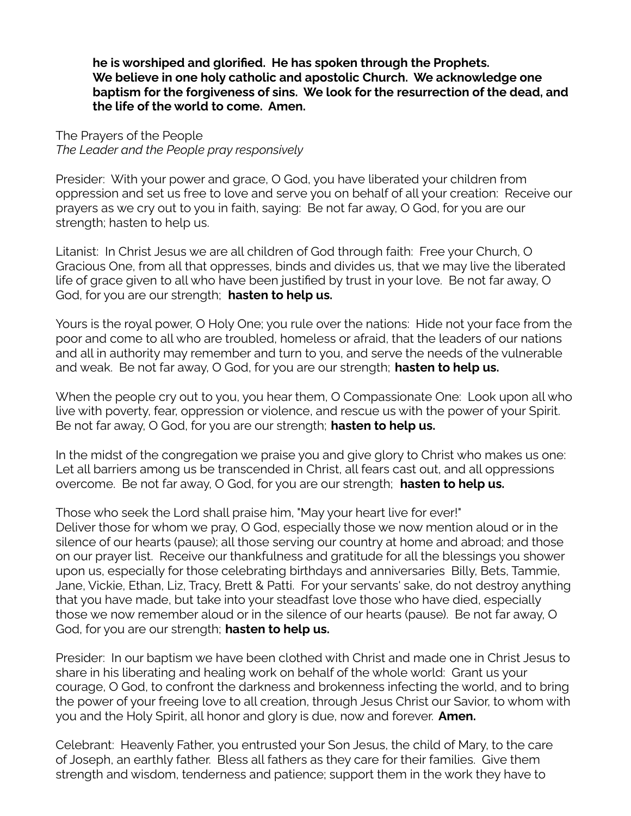**he is worshiped and glorified. He has spoken through the Prophets. We believe in one holy catholic and apostolic Church. We acknowledge one baptism for the forgiveness of sins. We look for the resurrection of the dead, and the life of the world to come. Amen.**

The Prayers of the People *The Leader and the People pray responsively*

Presider: With your power and grace, O God, you have liberated your children from oppression and set us free to love and serve you on behalf of all your creation: Receive our prayers as we cry out to you in faith, saying: Be not far away, O God, for you are our strength; hasten to help us.

Litanist: In Christ Jesus we are all children of God through faith: Free your Church, O Gracious One, from all that oppresses, binds and divides us, that we may live the liberated life of grace given to all who have been justified by trust in your love. Be not far away, O God, for you are our strength; **hasten to help us.**

Yours is the royal power, O Holy One; you rule over the nations: Hide not your face from the poor and come to all who are troubled, homeless or afraid, that the leaders of our nations and all in authority may remember and turn to you, and serve the needs of the vulnerable and weak. Be not far away, O God, for you are our strength; **hasten to help us.**

When the people cry out to you, you hear them, O Compassionate One: Look upon all who live with poverty, fear, oppression or violence, and rescue us with the power of your Spirit. Be not far away, O God, for you are our strength; **hasten to help us.**

In the midst of the congregation we praise you and give glory to Christ who makes us one: Let all barriers among us be transcended in Christ, all fears cast out, and all oppressions overcome. Be not far away, O God, for you are our strength; **hasten to help us.**

Those who seek the Lord shall praise him, "May your heart live for ever!"

Deliver those for whom we pray, O God, especially those we now mention aloud or in the silence of our hearts (pause); all those serving our country at home and abroad; and those on our prayer list. Receive our thankfulness and gratitude for all the blessings you shower upon us, especially for those celebrating birthdays and anniversaries Billy, Bets, Tammie, Jane, Vickie, Ethan, Liz, Tracy, Brett & Patti. For your servants' sake, do not destroy anything that you have made, but take into your steadfast love those who have died, especially those we now remember aloud or in the silence of our hearts (pause). Be not far away, O God, for you are our strength; **hasten to help us.**

Presider: In our baptism we have been clothed with Christ and made one in Christ Jesus to share in his liberating and healing work on behalf of the whole world: Grant us your courage, O God, to confront the darkness and brokenness infecting the world, and to bring the power of your freeing love to all creation, through Jesus Christ our Savior, to whom with you and the Holy Spirit, all honor and glory is due, now and forever. **Amen.**

Celebrant: Heavenly Father, you entrusted your Son Jesus, the child of Mary, to the care of Joseph, an earthly father. Bless all fathers as they care for their families. Give them strength and wisdom, tenderness and patience; support them in the work they have to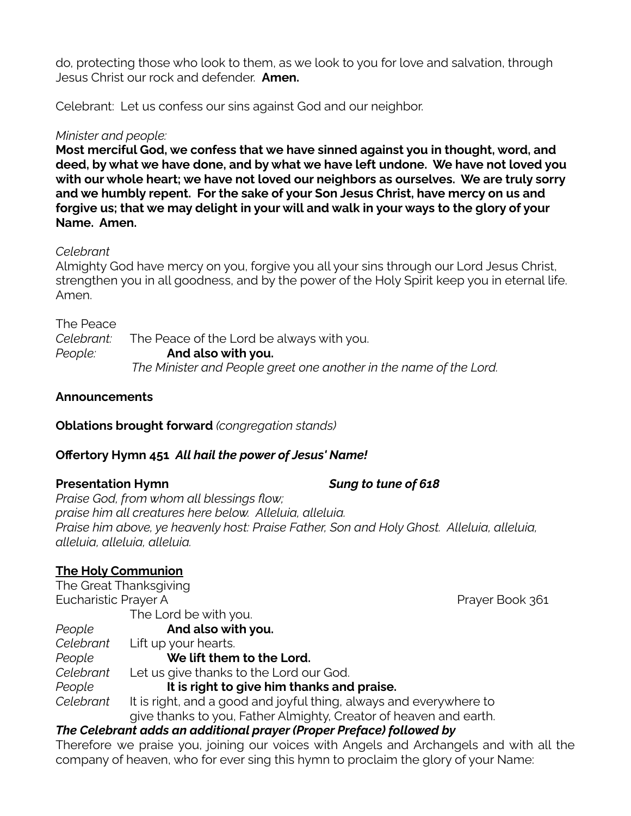do, protecting those who look to them, as we look to you for love and salvation, through Jesus Christ our rock and defender. **Amen.**

Celebrant: Let us confess our sins against God and our neighbor.

## *Minister and people:*

**Most merciful God, we confess that we have sinned against you in thought, word, and deed, by what we have done, and by what we have left undone. We have not loved you with our whole heart; we have not loved our neighbors as ourselves. We are truly sorry and we humbly repent. For the sake of your Son Jesus Christ, have mercy on us and forgive us; that we may delight in your will and walk in your ways to the glory of your Name. Amen.**

## *Celebrant*

Almighty God have mercy on you, forgive you all your sins through our Lord Jesus Christ, strengthen you in all goodness, and by the power of the Holy Spirit keep you in eternal life. Amen.

The Peace

*Celebrant:* The Peace of the Lord be always with you. *People:* **And also with you.** *The Minister and People greet one another in the name of the Lord.*

## **Announcements**

**Oblations brought forward** *(congregation stands)*

## **Offertory Hymn 451** *All hail the power of Jesus' Name!*

## **Presentation Hymn** *Sung to tune of 618*

*Praise God, from whom all blessings flow; praise him all creatures here below. Alleluia, alleluia. Praise him above, ye heavenly host: Praise Father, Son and Holy Ghost. Alleluia, alleluia, alleluia, alleluia, alleluia.*

## **The Holy Communion**

| The Great Thanksgiving                                               |                                                                    |                 |  |
|----------------------------------------------------------------------|--------------------------------------------------------------------|-----------------|--|
| Eucharistic Prayer A                                                 |                                                                    | Prayer Book 361 |  |
|                                                                      | The Lord be with you.                                              |                 |  |
| People                                                               | And also with you.                                                 |                 |  |
| Celebrant                                                            | Lift up your hearts.                                               |                 |  |
| People                                                               | We lift them to the Lord.                                          |                 |  |
| Celebrant                                                            | Let us give thanks to the Lord our God.                            |                 |  |
| People                                                               | It is right to give him thanks and praise.                         |                 |  |
| Celebrant                                                            | It is right, and a good and joyful thing, always and everywhere to |                 |  |
|                                                                      | give thanks to you, Father Almighty, Creator of heaven and earth.  |                 |  |
| The Celebrant adds an additional prayer (Proper Preface) followed by |                                                                    |                 |  |

Therefore we praise you, joining our voices with Angels and Archangels and with all the company of heaven, who for ever sing this hymn to proclaim the glory of your Name: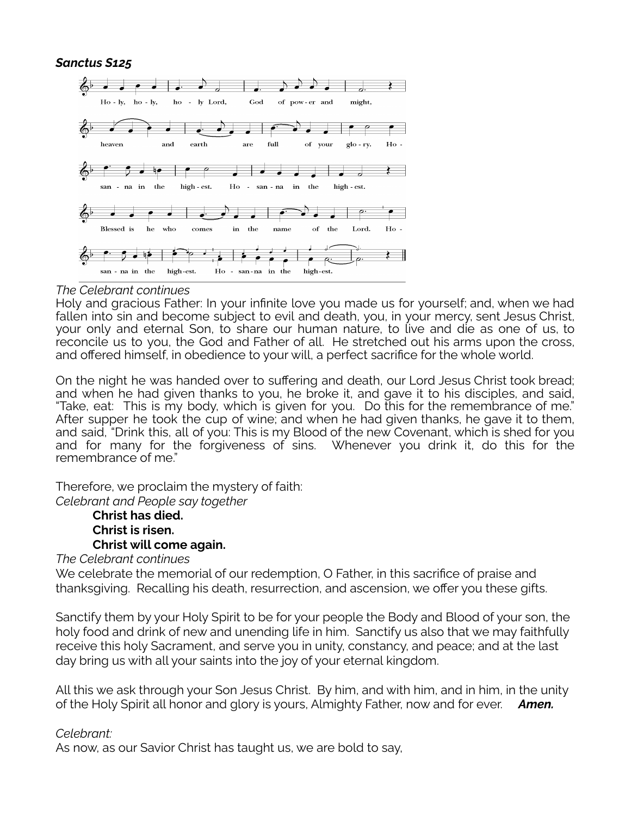#### *Sanctus S125*



#### *The Celebrant continues*

Holy and gracious Father: In your infinite love you made us for yourself; and, when we had fallen into sin and become subject to evil and death, you, in your mercy, sent Jesus Christ, your only and eternal Son, to share our human nature, to live and die as one of us, to reconcile us to you, the God and Father of all. He stretched out his arms upon the cross, and offered himself, in obedience to your will, a perfect sacrifice for the whole world.

On the night he was handed over to suffering and death, our Lord Jesus Christ took bread; and when he had given thanks to you, he broke it, and gave it to his disciples, and said, "Take, eat: This is my body, which is given for you. Do this for the remembrance of me." After supper he took the cup of wine; and when he had given thanks, he gave it to them, and said, "Drink this, all of you: This is my Blood of the new Covenant, which is shed for you and for many for the forgiveness of sins. Whenever you drink it, do this for the remembrance of me."

Therefore, we proclaim the mystery of faith: *Celebrant and People say together*

> **Christ has died. Christ is risen. Christ will come again.**

*The Celebrant continues*

We celebrate the memorial of our redemption, O Father, in this sacrifice of praise and thanksgiving. Recalling his death, resurrection, and ascension, we offer you these gifts.

Sanctify them by your Holy Spirit to be for your people the Body and Blood of your son, the holy food and drink of new and unending life in him. Sanctify us also that we may faithfully receive this holy Sacrament, and serve you in unity, constancy, and peace; and at the last day bring us with all your saints into the joy of your eternal kingdom.

All this we ask through your Son Jesus Christ. By him, and with him, and in him, in the unity of the Holy Spirit all honor and glory is yours, Almighty Father, now and for ever. *Amen.*

#### *Celebrant:*

As now, as our Savior Christ has taught us, we are bold to say,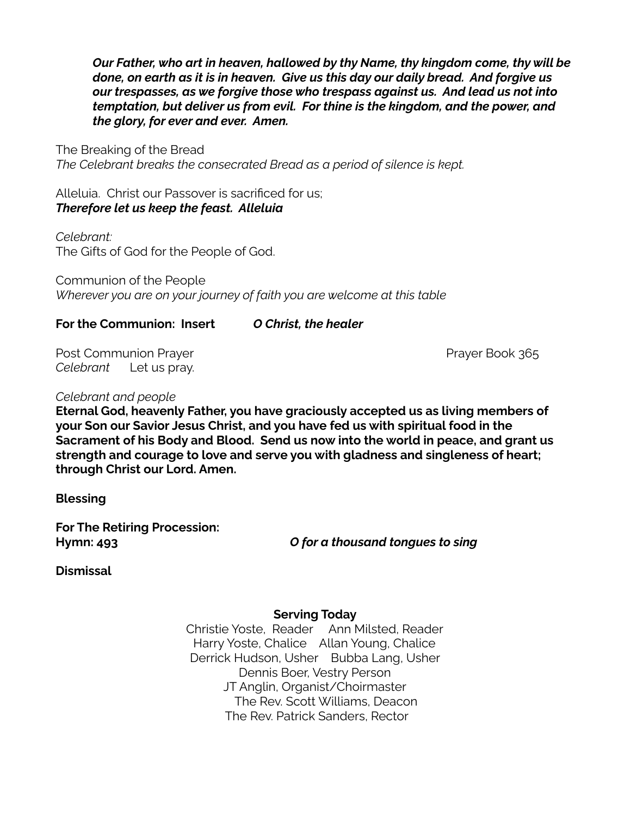*Our Father, who art in heaven, hallowed by thy Name, thy kingdom come, thy will be done, on earth as it is in heaven. Give us this day our daily bread. And forgive us our trespasses, as we forgive those who trespass against us. And lead us not into temptation, but deliver us from evil. For thine is the kingdom, and the power, and the glory, for ever and ever. Amen.*

The Breaking of the Bread *The Celebrant breaks the consecrated Bread as a period of silence is kept.*

Alleluia. Christ our Passover is sacrificed for us; *Therefore let us keep the feast. Alleluia*

*Celebrant:* The Gifts of God for the People of God.

Communion of the People *Wherever you are on your journey of faith you are welcome at this table*

### **For the Communion: Insert** *O Christ, the healer*

Post Communion Prayer Post Communion Prayer Book 365 *Celebrant* Let us pray.

*Celebrant and people*

**Eternal God, heavenly Father, you have graciously accepted us as living members of your Son our Savior Jesus Christ, and you have fed us with spiritual food in the Sacrament of his Body and Blood. Send us now into the world in peace, and grant us strength and courage to love and serve you with gladness and singleness of heart; through Christ our Lord. Amen.**

**Blessing**

**For The Retiring Procession:**

**Hymn: 493** *O for a thousand tongues to sing*

**Dismissal**

#### **Serving Today**

Christie Yoste, Reader Ann Milsted, Reader Harry Yoste, Chalice Allan Young, Chalice Derrick Hudson, Usher Bubba Lang, Usher Dennis Boer, Vestry Person JT Anglin, Organist/Choirmaster The Rev. Scott Williams, Deacon The Rev. Patrick Sanders, Rector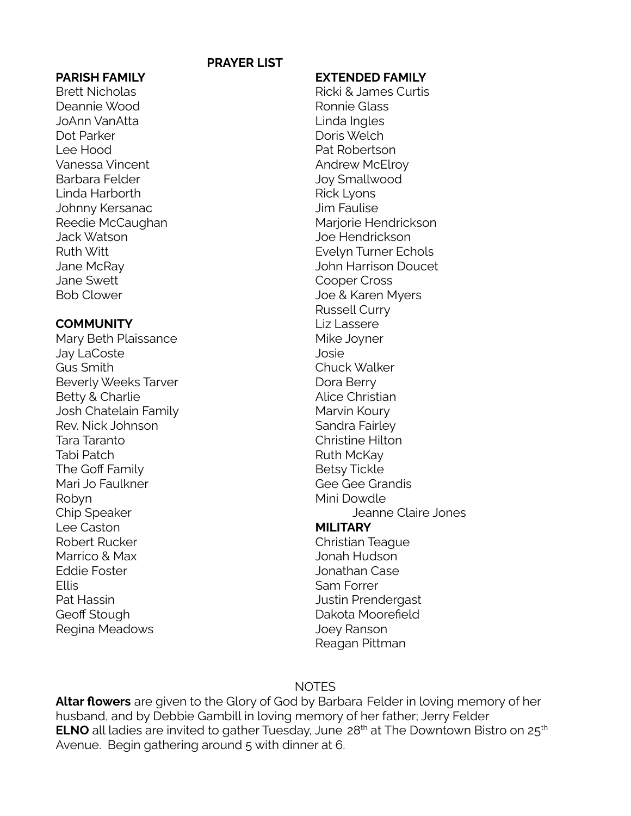#### **PRAYER LIST**

Brett Nicholas **Ricki & James Curtis** Deannie Wood Ronnie Glass JoAnn VanAtta Linda Ingles Dot Parker **Dominical Community** Doris Welch Lee Hood Pat Robertson Vanessa Vincent **Andrew McElroy** Barbara Felder **Galactic Contract Contract Contract Contract Contract Contract Contract Contract Contract Contract Contract Contract Contract Contract Contract Contract Contract Contract Contract Contract Contract Contract** Linda Harborth **Rick Lyons** Johnny Kersanac Jim Faulise Jack Watson Joe Hendrickson Jane Swett **Cooper Cross** 

#### **COMMUNITY** Liz Lassere

Mary Beth Plaissance Mike Joyner Jay LaCoste Josie Gus Smith Chuck Walker Beverly Weeks Tarver **Dora Berry** Beverly Weeks Tarver Betty & Charlie **Alice Christian** Josh Chatelain Family Marvin Koury Rev. Nick Johnson Sandra Fairley Tara Taranto Christine Hilton Tabi Patch **Ruth McKay** The Goff Family **Betsy Tickle** Mari Jo Faulkner Gee Gee Grandis Robyn Mini Dowdle Lee Caston **MILITARY** Robert Rucker Christian Teague Marrico & Max **Marrico & Max** Jonah Hudson Eddie Foster **Grand Case** Jonathan Case Ellis **Ellis** Sam Forrer Pat Hassin **Pat Hassin** Prendergast Geoff Stough **Dakota Moorefield** Regina Meadows **Good Contract Contract Contract Contract Contract Contract Contract Contract Contract Contract Contract Contract Contract Contract Contract Contract Contract Contract Contract Contract Contract Contract Con** 

#### **PARISH FAMILY EXTENDED FAMILY**

Reedie McCaughan Marjorie Hendrickson Ruth Witt **Evelyn Turner Echols** Jane McRay John Harrison Doucet Bob Clower **Good Clower** Joe & Karen Myers Russell Curry Chip Speaker **Chip Speaker** Chip Speaker Jeanne Claire Jones

# **NOTES**

Reagan Pittman

**Altar flowers** are given to the Glory of God by Barbara Felder in loving memory of her husband, and by Debbie Gambill in loving memory of her father; Jerry Felder **ELNO** all ladies are invited to gather Tuesday, June 28<sup>th</sup> at The Downtown Bistro on 25<sup>th</sup> Avenue. Begin gathering around 5 with dinner at 6.